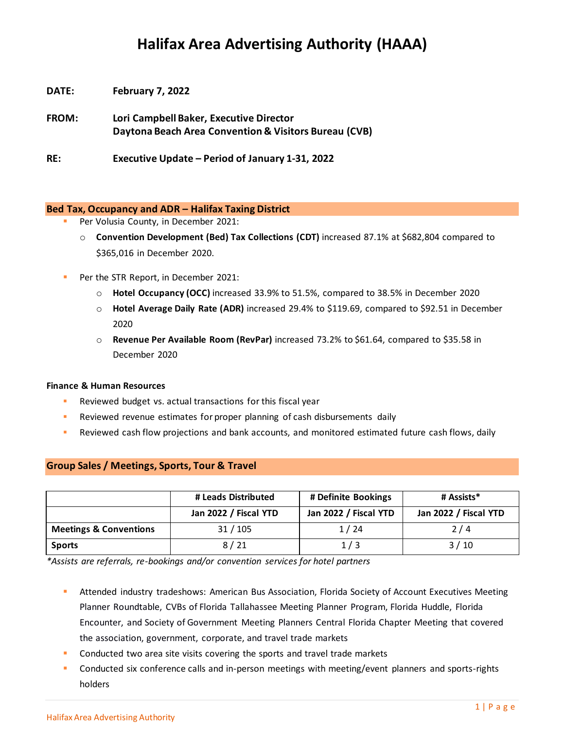# **Halifax Area Advertising Authority (HAAA)**

- **DATE: February 7, 2022**
- **FROM: Lori Campbell Baker, Executive Director Daytona Beach Area Convention & Visitors Bureau (CVB)**

**RE: Executive Update – Period of January 1-31, 2022**

## **Bed Tax, Occupancy and ADR – Halifax Taxing District**

- Per Volusia County, in December 2021:
	- o **Convention Development (Bed) Tax Collections (CDT)** increased 87.1% at \$682,804 compared to \$365,016 in December 2020.
- Per the STR Report, in December 2021:
	- o **Hotel Occupancy (OCC)** increased 33.9% to 51.5%, compared to 38.5% in December 2020
	- o **Hotel Average Daily Rate (ADR)** increased 29.4% to \$119.69, compared to \$92.51 in December 2020
	- o **Revenue Per Available Room (RevPar)** increased 73.2% to \$61.64, compared to \$35.58 in December 2020

### **Finance & Human Resources**

- Reviewed budget vs. actual transactions for this fiscal year
- **EXECTE FIGHTS Reviewed revenue estimates for proper planning of cash disbursements daily**
- Reviewed cash flow projections and bank accounts, and monitored estimated future cash flows, daily

|                                   | # Leads Distributed   | # Definite Bookings   | # Assists*            |
|-----------------------------------|-----------------------|-----------------------|-----------------------|
|                                   | Jan 2022 / Fiscal YTD | Jan 2022 / Fiscal YTD | Jan 2022 / Fiscal YTD |
| <b>Meetings &amp; Conventions</b> | 31/105                | 1/24                  | 2/4                   |
| <b>Sports</b>                     | 8/21                  | 1/3                   | 3/10                  |

**Group Sales / Meetings, Sports, Tour & Travel**

*\*Assists are referrals, re-bookings and/or convention services for hotel partners*

**E** Attended industry tradeshows: American Bus Association, Florida Society of Account Executives Meeting Planner Roundtable, CVBs of Florida Tallahassee Meeting Planner Program, Florida Huddle, Florida Encounter, and Society of Government Meeting Planners Central Florida Chapter Meeting that covered the association, government, corporate, and travel trade markets

- Conducted two area site visits covering the sports and travel trade markets
- Conducted six conference calls and in-person meetings with meeting/event planners and sports-rights holders